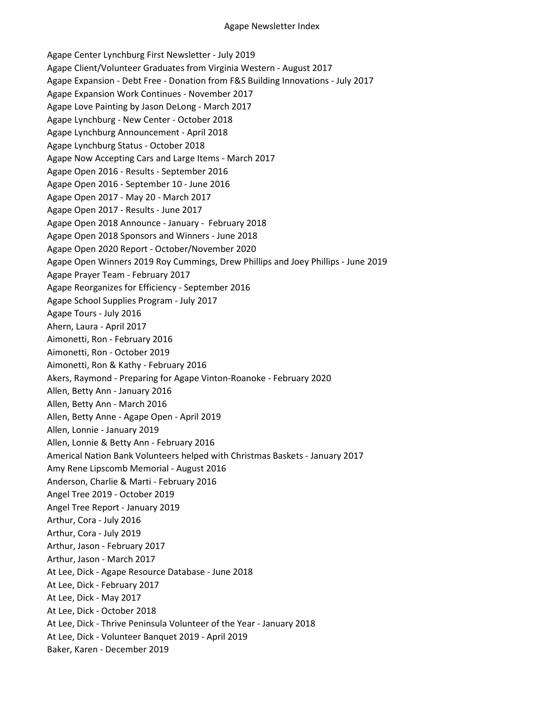Agape Center Lynchburg First Newsletter - July 2019 Agape Client/Volunteer Graduates from Virginia Western - August 2017 Agape Expansion - Debt Free - Donation from F&S Building Innovations - July 2017 Agape Expansion Work Continues - November 2017 Agape Love Painting by Jason DeLong - March 2017 Agape Lynchburg - New Center - October 2018 Agape Lynchburg Announcement - April 2018 Agape Lynchburg Status - October 2018 Agape Now Accepting Cars and Large Items - March 2017 Agape Open 2016 - Results - September 2016 Agape Open 2016 - September 10 - June 2016 Agape Open 2017 - May 20 - March 2017 Agape Open 2017 - Results - June 2017 Agape Open 2018 Announce - January - February 2018 Agape Open 2018 Sponsors and Winners - June 2018 Agape Open 2020 Report - October/November 2020 Agape Open Winners 2019 Roy Cummings, Drew Phillips and Joey Phillips - June 2019 Agape Prayer Team - February 2017 Agape Reorganizes for Efficiency - September 2016 Agape School Supplies Program - July 2017 Agape Tours - July 2016 Ahern, Laura - April 2017 Aimonetti, Ron - February 2016 Aimonetti, Ron - October 2019 Aimonetti, Ron & Kathy - February 2016 Akers, Raymond - Preparing for Agape Vinton-Roanoke - February 2020 Allen, Betty Ann - January 2016 Allen, Betty Ann - March 2016 Allen, Betty Anne - Agape Open - April 2019 Allen, Lonnie - January 2019 Allen, Lonnie & Betty Ann - February 2016 Americal Nation Bank Volunteers helped with Christmas Baskets - January 2017 Amy Rene Lipscomb Memorial - August 2016 Anderson, Charlie & Marti - February 2016 Angel Tree 2019 - October 2019 Angel Tree Report - January 2019 Arthur, Cora - July 2016 Arthur, Cora - July 2019 Arthur, Jason - February 2017 Arthur, Jason - March 2017 At Lee, Dick - Agape Resource Database - June 2018 At Lee, Dick - February 2017 At Lee, Dick - May 2017 At Lee, Dick - October 2018 At Lee, Dick - Thrive Peninsula Volunteer of the Year - January 2018 At Lee, Dick - Volunteer Banquet 2019 - April 2019 Baker, Karen - December 2019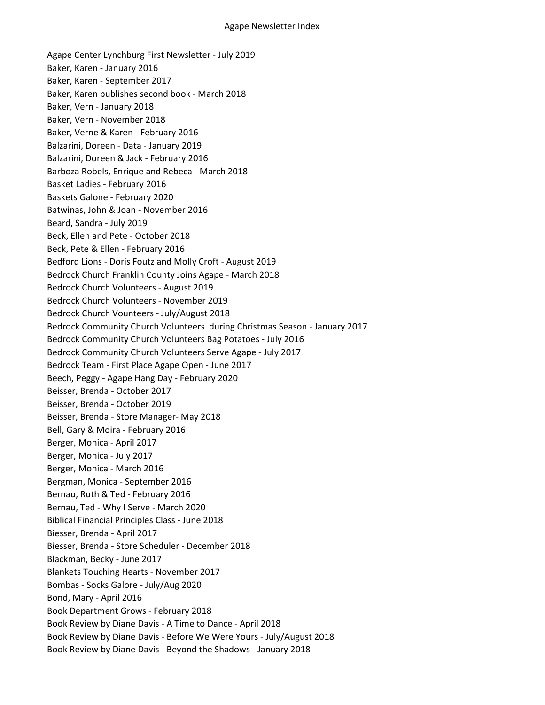Agape Center Lynchburg First Newsletter - July 2019 Baker, Karen - January 2016 Baker, Karen - September 2017 Baker, Karen publishes second book - March 2018 Baker, Vern - January 2018 Baker, Vern - November 2018 Baker, Verne & Karen - February 2016 Balzarini, Doreen - Data - January 2019 Balzarini, Doreen & Jack - February 2016 Barboza Robels, Enrique and Rebeca - March 2018 Basket Ladies - February 2016 Baskets Galone - February 2020 Batwinas, John & Joan - November 2016 Beard, Sandra - July 2019 Beck, Ellen and Pete - October 2018 Beck, Pete & Ellen - February 2016 Bedford Lions - Doris Foutz and Molly Croft - August 2019 Bedrock Church Franklin County Joins Agape - March 2018 Bedrock Church Volunteers - August 2019 Bedrock Church Volunteers - November 2019 Bedrock Church Vounteers - July/August 2018 Bedrock Community Church Volunteers during Christmas Season - January 2017 Bedrock Community Church Volunteers Bag Potatoes - July 2016 Bedrock Community Church Volunteers Serve Agape - July 2017 Bedrock Team - First Place Agape Open - June 2017 Beech, Peggy - Agape Hang Day - February 2020 Beisser, Brenda - October 2017 Beisser, Brenda - October 2019 Beisser, Brenda - Store Manager- May 2018 Bell, Gary & Moira - February 2016 Berger, Monica - April 2017 Berger, Monica - July 2017 Berger, Monica - March 2016 Bergman, Monica - September 2016 Bernau, Ruth & Ted - February 2016 Bernau, Ted - Why I Serve - March 2020 Biblical Financial Principles Class - June 2018 Biesser, Brenda - April 2017 Biesser, Brenda - Store Scheduler - December 2018 Blackman, Becky - June 2017 Blankets Touching Hearts - November 2017 Bombas - Socks Galore - July/Aug 2020 Bond, Mary - April 2016 Book Department Grows - February 2018 Book Review by Diane Davis - A Time to Dance - April 2018 Book Review by Diane Davis - Before We Were Yours - July/August 2018 Book Review by Diane Davis - Beyond the Shadows - January 2018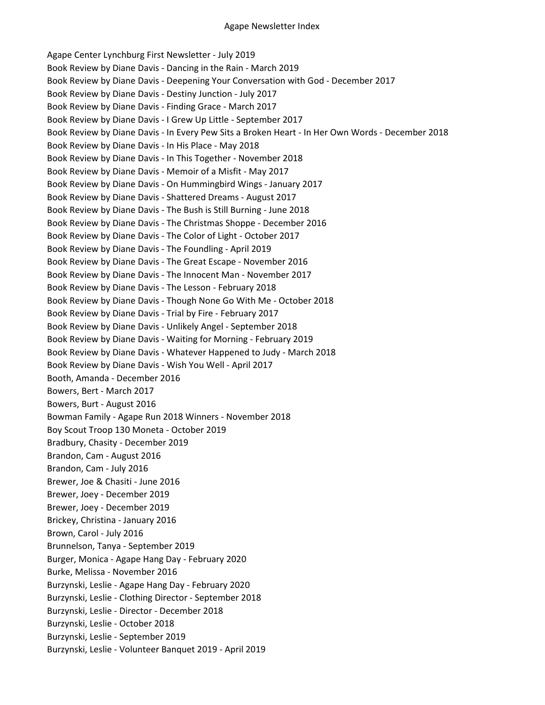Agape Center Lynchburg First Newsletter - July 2019 Book Review by Diane Davis - Dancing in the Rain - March 2019 Book Review by Diane Davis - Deepening Your Conversation with God - December 2017 Book Review by Diane Davis - Destiny Junction - July 2017 Book Review by Diane Davis - Finding Grace - March 2017 Book Review by Diane Davis - I Grew Up Little - September 2017 Book Review by Diane Davis - In Every Pew Sits a Broken Heart - In Her Own Words - December 2018 Book Review by Diane Davis - In His Place - May 2018 Book Review by Diane Davis - In This Together - November 2018 Book Review by Diane Davis - Memoir of a Misfit - May 2017 Book Review by Diane Davis - On Hummingbird Wings - January 2017 Book Review by Diane Davis - Shattered Dreams - August 2017 Book Review by Diane Davis - The Bush is Still Burning - June 2018 Book Review by Diane Davis - The Christmas Shoppe - December 2016 Book Review by Diane Davis - The Color of Light - October 2017 Book Review by Diane Davis - The Foundling - April 2019 Book Review by Diane Davis - The Great Escape - November 2016 Book Review by Diane Davis - The Innocent Man - November 2017 Book Review by Diane Davis - The Lesson - February 2018 Book Review by Diane Davis - Though None Go With Me - October 2018 Book Review by Diane Davis - Trial by Fire - February 2017 Book Review by Diane Davis - Unlikely Angel - September 2018 Book Review by Diane Davis - Waiting for Morning - February 2019 Book Review by Diane Davis - Whatever Happened to Judy - March 2018 Book Review by Diane Davis - Wish You Well - April 2017 Booth, Amanda - December 2016 Bowers, Bert - March 2017 Bowers, Burt - August 2016 Bowman Family - Agape Run 2018 Winners - November 2018 Boy Scout Troop 130 Moneta - October 2019 Bradbury, Chasity - December 2019 Brandon, Cam - August 2016 Brandon, Cam - July 2016 Brewer, Joe & Chasiti - June 2016 Brewer, Joey - December 2019 Brewer, Joey - December 2019 Brickey, Christina - January 2016 Brown, Carol - July 2016 Brunnelson, Tanya - September 2019 Burger, Monica - Agape Hang Day - February 2020 Burke, Melissa - November 2016 Burzynski, Leslie - Agape Hang Day - February 2020 Burzynski, Leslie - Clothing Director - September 2018 Burzynski, Leslie - Director - December 2018 Burzynski, Leslie - October 2018 Burzynski, Leslie - September 2019 Burzynski, Leslie - Volunteer Banquet 2019 - April 2019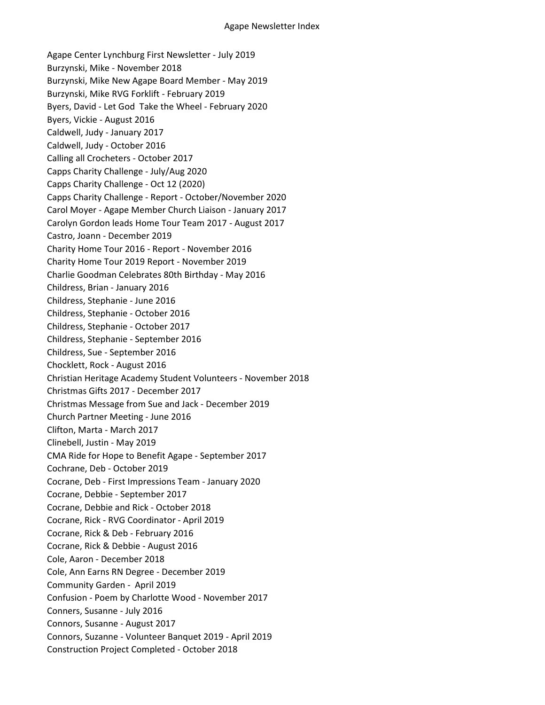Agape Center Lynchburg First Newsletter - July 2019 Burzynski, Mike - November 2018 Burzynski, Mike New Agape Board Member - May 2019 Burzynski, Mike RVG Forklift - February 2019 Byers, David - Let God Take the Wheel - February 2020 Byers, Vickie - August 2016 Caldwell, Judy - January 2017 Caldwell, Judy - October 2016 Calling all Crocheters - October 2017 Capps Charity Challenge - July/Aug 2020 Capps Charity Challenge - Oct 12 (2020) Capps Charity Challenge - Report - October/November 2020 Carol Moyer - Agape Member Church Liaison - January 2017 Carolyn Gordon leads Home Tour Team 2017 - August 2017 Castro, Joann - December 2019 Charity Home Tour 2016 - Report - November 2016 Charity Home Tour 2019 Report - November 2019 Charlie Goodman Celebrates 80th Birthday - May 2016 Childress, Brian - January 2016 Childress, Stephanie - June 2016 Childress, Stephanie - October 2016 Childress, Stephanie - October 2017 Childress, Stephanie - September 2016 Childress, Sue - September 2016 Chocklett, Rock - August 2016 Christian Heritage Academy Student Volunteers - November 2018 Christmas Gifts 2017 - December 2017 Christmas Message from Sue and Jack - December 2019 Church Partner Meeting - June 2016 Clifton, Marta - March 2017 Clinebell, Justin - May 2019 CMA Ride for Hope to Benefit Agape - September 2017 Cochrane, Deb - October 2019 Cocrane, Deb - First Impressions Team - January 2020 Cocrane, Debbie - September 2017 Cocrane, Debbie and Rick - October 2018 Cocrane, Rick - RVG Coordinator - April 2019 Cocrane, Rick & Deb - February 2016 Cocrane, Rick & Debbie - August 2016 Cole, Aaron - December 2018 Cole, Ann Earns RN Degree - December 2019 Community Garden - April 2019 Confusion - Poem by Charlotte Wood - November 2017 Conners, Susanne - July 2016 Connors, Susanne - August 2017 Connors, Suzanne - Volunteer Banquet 2019 - April 2019 Construction Project Completed - October 2018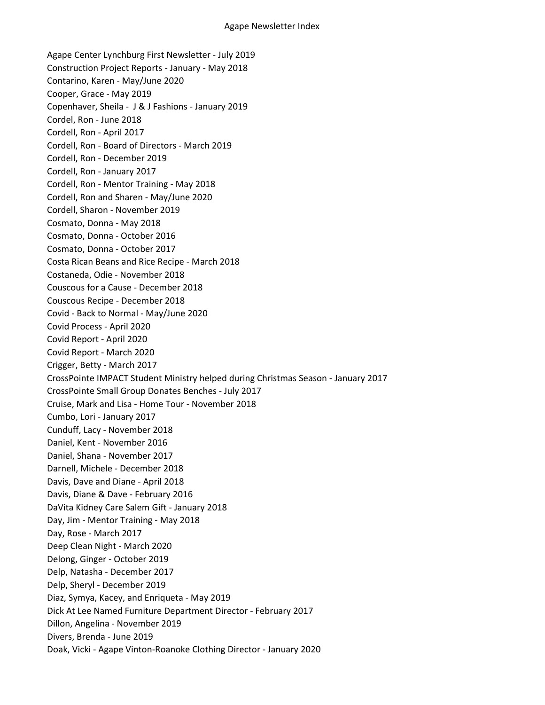Agape Center Lynchburg First Newsletter - July 2019 Construction Project Reports - January - May 2018 Contarino, Karen - May/June 2020 Cooper, Grace - May 2019 Copenhaver, Sheila - J & J Fashions - January 2019 Cordel, Ron - June 2018 Cordell, Ron - April 2017 Cordell, Ron - Board of Directors - March 2019 Cordell, Ron - December 2019 Cordell, Ron - January 2017 Cordell, Ron - Mentor Training - May 2018 Cordell, Ron and Sharen - May/June 2020 Cordell, Sharon - November 2019 Cosmato, Donna - May 2018 Cosmato, Donna - October 2016 Cosmato, Donna - October 2017 Costa Rican Beans and Rice Recipe - March 2018 Costaneda, Odie - November 2018 Couscous for a Cause - December 2018 Couscous Recipe - December 2018 Covid - Back to Normal - May/June 2020 Covid Process - April 2020 Covid Report - April 2020 Covid Report - March 2020 Crigger, Betty - March 2017 CrossPointe IMPACT Student Ministry helped during Christmas Season - January 2017 CrossPointe Small Group Donates Benches - July 2017 Cruise, Mark and Lisa - Home Tour - November 2018 Cumbo, Lori - January 2017 Cunduff, Lacy - November 2018 Daniel, Kent - November 2016 Daniel, Shana - November 2017 Darnell, Michele - December 2018 Davis, Dave and Diane - April 2018 Davis, Diane & Dave - February 2016 DaVita Kidney Care Salem Gift - January 2018 Day, Jim - Mentor Training - May 2018 Day, Rose - March 2017 Deep Clean Night - March 2020 Delong, Ginger - October 2019 Delp, Natasha - December 2017 Delp, Sheryl - December 2019 Diaz, Symya, Kacey, and Enriqueta - May 2019 Dick At Lee Named Furniture Department Director - February 2017 Dillon, Angelina - November 2019 Divers, Brenda - June 2019 Doak, Vicki - Agape Vinton-Roanoke Clothing Director - January 2020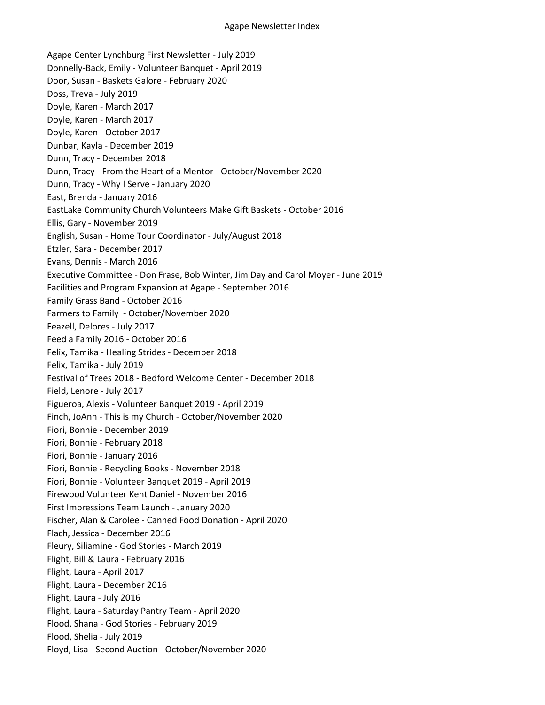Agape Center Lynchburg First Newsletter - July 2019 Donnelly-Back, Emily - Volunteer Banquet - April 2019 Door, Susan - Baskets Galore - February 2020 Doss, Treva - July 2019 Doyle, Karen - March 2017 Doyle, Karen - March 2017 Doyle, Karen - October 2017 Dunbar, Kayla - December 2019 Dunn, Tracy - December 2018 Dunn, Tracy - From the Heart of a Mentor - October/November 2020 Dunn, Tracy - Why I Serve - January 2020 East, Brenda - January 2016 EastLake Community Church Volunteers Make Gift Baskets - October 2016 Ellis, Gary - November 2019 English, Susan - Home Tour Coordinator - July/August 2018 Etzler, Sara - December 2017 Evans, Dennis - March 2016 Executive Committee - Don Frase, Bob Winter, Jim Day and Carol Moyer - June 2019 Facilities and Program Expansion at Agape - September 2016 Family Grass Band - October 2016 Farmers to Family - October/November 2020 Feazell, Delores - July 2017 Feed a Family 2016 - October 2016 Felix, Tamika - Healing Strides - December 2018 Felix, Tamika - July 2019 Festival of Trees 2018 - Bedford Welcome Center - December 2018 Field, Lenore - July 2017 Figueroa, Alexis - Volunteer Banquet 2019 - April 2019 Finch, JoAnn - This is my Church - October/November 2020 Fiori, Bonnie - December 2019 Fiori, Bonnie - February 2018 Fiori, Bonnie - January 2016 Fiori, Bonnie - Recycling Books - November 2018 Fiori, Bonnie - Volunteer Banquet 2019 - April 2019 Firewood Volunteer Kent Daniel - November 2016 First Impressions Team Launch - January 2020 Fischer, Alan & Carolee - Canned Food Donation - April 2020 Flach, Jessica - December 2016 Fleury, Siliamine - God Stories - March 2019 Flight, Bill & Laura - February 2016 Flight, Laura - April 2017 Flight, Laura - December 2016 Flight, Laura - July 2016 Flight, Laura - Saturday Pantry Team - April 2020 Flood, Shana - God Stories - February 2019 Flood, Shelia - July 2019 Floyd, Lisa - Second Auction - October/November 2020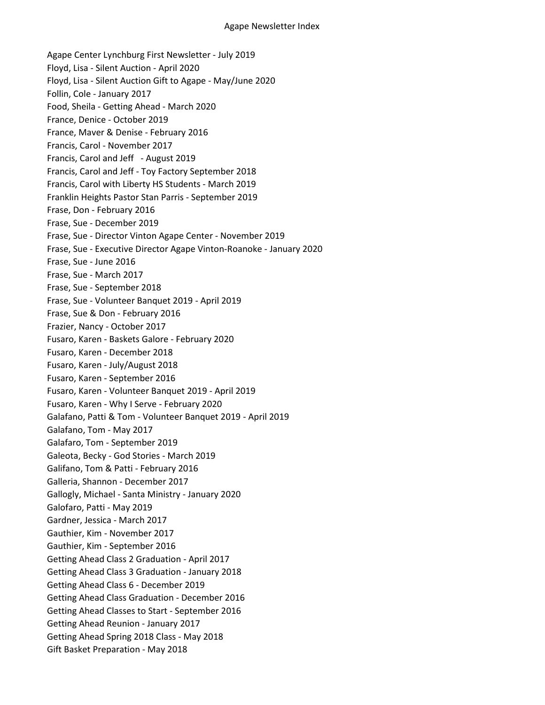Agape Center Lynchburg First Newsletter - July 2019 Floyd, Lisa - Silent Auction - April 2020 Floyd, Lisa - Silent Auction Gift to Agape - May/June 2020 Follin, Cole - January 2017 Food, Sheila - Getting Ahead - March 2020 France, Denice - October 2019 France, Maver & Denise - February 2016 Francis, Carol - November 2017 Francis, Carol and Jeff - August 2019 Francis, Carol and Jeff - Toy Factory September 2018 Francis, Carol with Liberty HS Students - March 2019 Franklin Heights Pastor Stan Parris - September 2019 Frase, Don - February 2016 Frase, Sue - December 2019 Frase, Sue - Director Vinton Agape Center - November 2019 Frase, Sue - Executive Director Agape Vinton-Roanoke - January 2020 Frase, Sue - June 2016 Frase, Sue - March 2017 Frase, Sue - September 2018 Frase, Sue - Volunteer Banquet 2019 - April 2019 Frase, Sue & Don - February 2016 Frazier, Nancy - October 2017 Fusaro, Karen - Baskets Galore - February 2020 Fusaro, Karen - December 2018 Fusaro, Karen - July/August 2018 Fusaro, Karen - September 2016 Fusaro, Karen - Volunteer Banquet 2019 - April 2019 Fusaro, Karen - Why I Serve - February 2020 Galafano, Patti & Tom - Volunteer Banquet 2019 - April 2019 Galafano, Tom - May 2017 Galafaro, Tom - September 2019 Galeota, Becky - God Stories - March 2019 Galifano, Tom & Patti - February 2016 Galleria, Shannon - December 2017 Gallogly, Michael - Santa Ministry - January 2020 Galofaro, Patti - May 2019 Gardner, Jessica - March 2017 Gauthier, Kim - November 2017 Gauthier, Kim - September 2016 Getting Ahead Class 2 Graduation - April 2017 Getting Ahead Class 3 Graduation - January 2018 Getting Ahead Class 6 - December 2019 Getting Ahead Class Graduation - December 2016 Getting Ahead Classes to Start - September 2016 Getting Ahead Reunion - January 2017 Getting Ahead Spring 2018 Class - May 2018 Gift Basket Preparation - May 2018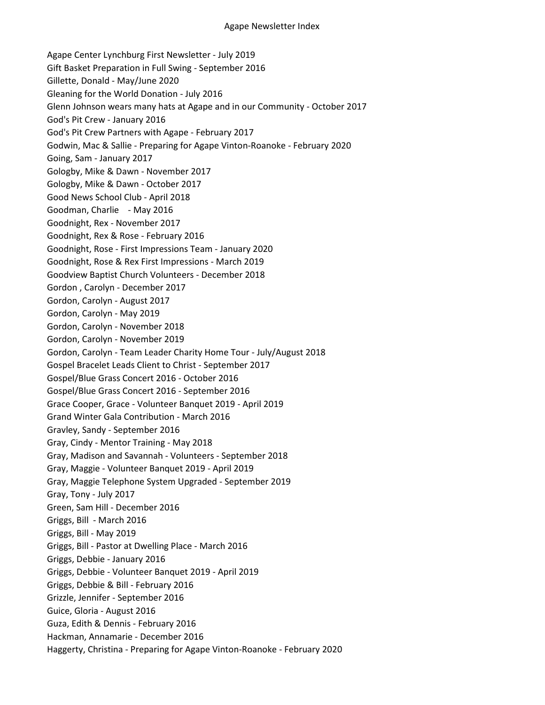Agape Center Lynchburg First Newsletter - July 2019 Gift Basket Preparation in Full Swing - September 2016 Gillette, Donald - May/June 2020 Gleaning for the World Donation - July 2016 Glenn Johnson wears many hats at Agape and in our Community - October 2017 God's Pit Crew - January 2016 God's Pit Crew Partners with Agape - February 2017 Godwin, Mac & Sallie - Preparing for Agape Vinton-Roanoke - February 2020 Going, Sam - January 2017 Gologby, Mike & Dawn - November 2017 Gologby, Mike & Dawn - October 2017 Good News School Club - April 2018 Goodman, Charlie - May 2016 Goodnight, Rex - November 2017 Goodnight, Rex & Rose - February 2016 Goodnight, Rose - First Impressions Team - January 2020 Goodnight, Rose & Rex First Impressions - March 2019 Goodview Baptist Church Volunteers - December 2018 Gordon , Carolyn - December 2017 Gordon, Carolyn - August 2017 Gordon, Carolyn - May 2019 Gordon, Carolyn - November 2018 Gordon, Carolyn - November 2019 Gordon, Carolyn - Team Leader Charity Home Tour - July/August 2018 Gospel Bracelet Leads Client to Christ - September 2017 Gospel/Blue Grass Concert 2016 - October 2016 Gospel/Blue Grass Concert 2016 - September 2016 Grace Cooper, Grace - Volunteer Banquet 2019 - April 2019 Grand Winter Gala Contribution - March 2016 Gravley, Sandy - September 2016 Gray, Cindy - Mentor Training - May 2018 Gray, Madison and Savannah - Volunteers - September 2018 Gray, Maggie - Volunteer Banquet 2019 - April 2019 Gray, Maggie Telephone System Upgraded - September 2019 Gray, Tony - July 2017 Green, Sam Hill - December 2016 Griggs, Bill - March 2016 Griggs, Bill - May 2019 Griggs, Bill - Pastor at Dwelling Place - March 2016 Griggs, Debbie - January 2016 Griggs, Debbie - Volunteer Banquet 2019 - April 2019 Griggs, Debbie & Bill - February 2016 Grizzle, Jennifer - September 2016 Guice, Gloria - August 2016 Guza, Edith & Dennis - February 2016 Hackman, Annamarie - December 2016 Haggerty, Christina - Preparing for Agape Vinton-Roanoke - February 2020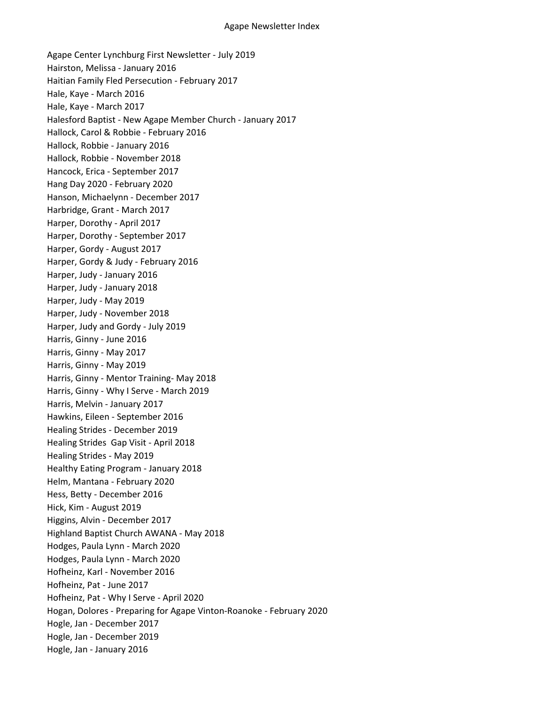Agape Center Lynchburg First Newsletter - July 2019 Hairston, Melissa - January 2016 Haitian Family Fled Persecution - February 2017 Hale, Kaye - March 2016 Hale, Kaye - March 2017 Halesford Baptist - New Agape Member Church - January 2017 Hallock, Carol & Robbie - February 2016 Hallock, Robbie - January 2016 Hallock, Robbie - November 2018 Hancock, Erica - September 2017 Hang Day 2020 - February 2020 Hanson, Michaelynn - December 2017 Harbridge, Grant - March 2017 Harper, Dorothy - April 2017 Harper, Dorothy - September 2017 Harper, Gordy - August 2017 Harper, Gordy & Judy - February 2016 Harper, Judy - January 2016 Harper, Judy - January 2018 Harper, Judy - May 2019 Harper, Judy - November 2018 Harper, Judy and Gordy - July 2019 Harris, Ginny - June 2016 Harris, Ginny - May 2017 Harris, Ginny - May 2019 Harris, Ginny - Mentor Training- May 2018 Harris, Ginny - Why I Serve - March 2019 Harris, Melvin - January 2017 Hawkins, Eileen - September 2016 Healing Strides - December 2019 Healing Strides Gap Visit - April 2018 Healing Strides - May 2019 Healthy Eating Program - January 2018 Helm, Mantana - February 2020 Hess, Betty - December 2016 Hick, Kim - August 2019 Higgins, Alvin - December 2017 Highland Baptist Church AWANA - May 2018 Hodges, Paula Lynn - March 2020 Hodges, Paula Lynn - March 2020 Hofheinz, Karl - November 2016 Hofheinz, Pat - June 2017 Hofheinz, Pat - Why I Serve - April 2020 Hogan, Dolores - Preparing for Agape Vinton-Roanoke - February 2020 Hogle, Jan - December 2017 Hogle, Jan - December 2019 Hogle, Jan - January 2016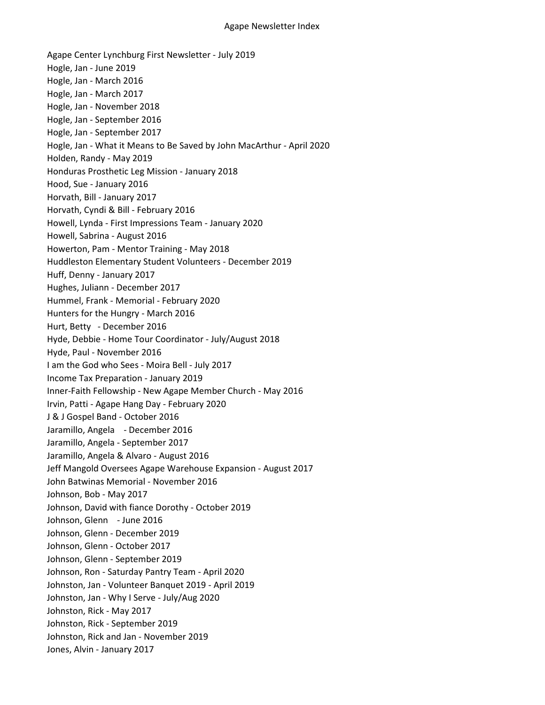Agape Center Lynchburg First Newsletter - July 2019 Hogle, Jan - June 2019 Hogle, Jan - March 2016 Hogle, Jan - March 2017 Hogle, Jan - November 2018 Hogle, Jan - September 2016 Hogle, Jan - September 2017 Hogle, Jan - What it Means to Be Saved by John MacArthur - April 2020 Holden, Randy - May 2019 Honduras Prosthetic Leg Mission - January 2018 Hood, Sue - January 2016 Horvath, Bill - January 2017 Horvath, Cyndi & Bill - February 2016 Howell, Lynda - First Impressions Team - January 2020 Howell, Sabrina - August 2016 Howerton, Pam - Mentor Training - May 2018 Huddleston Elementary Student Volunteers - December 2019 Huff, Denny - January 2017 Hughes, Juliann - December 2017 Hummel, Frank - Memorial - February 2020 Hunters for the Hungry - March 2016 Hurt, Betty - December 2016 Hyde, Debbie - Home Tour Coordinator - July/August 2018 Hyde, Paul - November 2016 I am the God who Sees - Moira Bell - July 2017 Income Tax Preparation - January 2019 Inner-Faith Fellowship - New Agape Member Church - May 2016 Irvin, Patti - Agape Hang Day - February 2020 J & J Gospel Band - October 2016 Jaramillo, Angela - December 2016 Jaramillo, Angela - September 2017 Jaramillo, Angela & Alvaro - August 2016 Jeff Mangold Oversees Agape Warehouse Expansion - August 2017 John Batwinas Memorial - November 2016 Johnson, Bob - May 2017 Johnson, David with fiance Dorothy - October 2019 Johnson, Glenn - June 2016 Johnson, Glenn - December 2019 Johnson, Glenn - October 2017 Johnson, Glenn - September 2019 Johnson, Ron - Saturday Pantry Team - April 2020 Johnston, Jan - Volunteer Banquet 2019 - April 2019 Johnston, Jan - Why I Serve - July/Aug 2020 Johnston, Rick - May 2017 Johnston, Rick - September 2019 Johnston, Rick and Jan - November 2019 Jones, Alvin - January 2017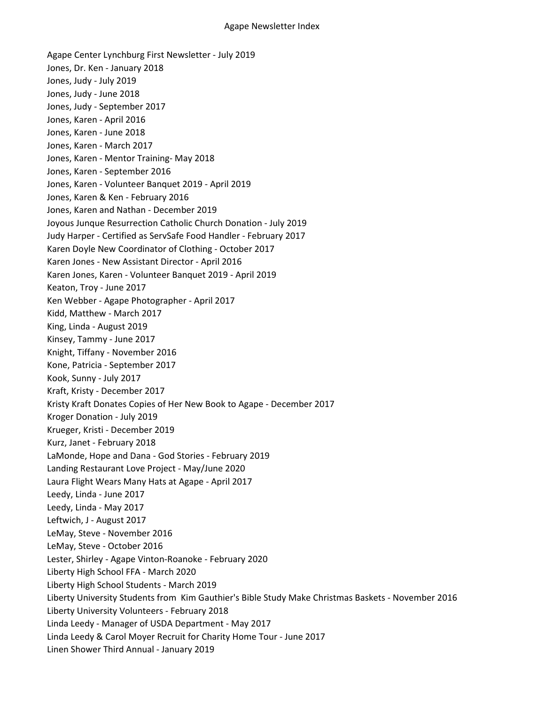Agape Center Lynchburg First Newsletter - July 2019 Jones, Dr. Ken - January 2018 Jones, Judy - July 2019 Jones, Judy - June 2018 Jones, Judy - September 2017 Jones, Karen - April 2016 Jones, Karen - June 2018 Jones, Karen - March 2017 Jones, Karen - Mentor Training- May 2018 Jones, Karen - September 2016 Jones, Karen - Volunteer Banquet 2019 - April 2019 Jones, Karen & Ken - February 2016 Jones, Karen and Nathan - December 2019 Joyous Junque Resurrection Catholic Church Donation - July 2019 Judy Harper - Certified as ServSafe Food Handler - February 2017 Karen Doyle New Coordinator of Clothing - October 2017 Karen Jones - New Assistant Director - April 2016 Karen Jones, Karen - Volunteer Banquet 2019 - April 2019 Keaton, Troy - June 2017 Ken Webber - Agape Photographer - April 2017 Kidd, Matthew - March 2017 King, Linda - August 2019 Kinsey, Tammy - June 2017 Knight, Tiffany - November 2016 Kone, Patricia - September 2017 Kook, Sunny - July 2017 Kraft, Kristy - December 2017 Kristy Kraft Donates Copies of Her New Book to Agape - December 2017 Kroger Donation - July 2019 Krueger, Kristi - December 2019 Kurz, Janet - February 2018 LaMonde, Hope and Dana - God Stories - February 2019 Landing Restaurant Love Project - May/June 2020 Laura Flight Wears Many Hats at Agape - April 2017 Leedy, Linda - June 2017 Leedy, Linda - May 2017 Leftwich, J - August 2017 LeMay, Steve - November 2016 LeMay, Steve - October 2016 Lester, Shirley - Agape Vinton-Roanoke - February 2020 Liberty High School FFA - March 2020 Liberty High School Students - March 2019 Liberty University Students from Kim Gauthier's Bible Study Make Christmas Baskets - November 2016 Liberty University Volunteers - February 2018 Linda Leedy - Manager of USDA Department - May 2017 Linda Leedy & Carol Moyer Recruit for Charity Home Tour - June 2017 Linen Shower Third Annual - January 2019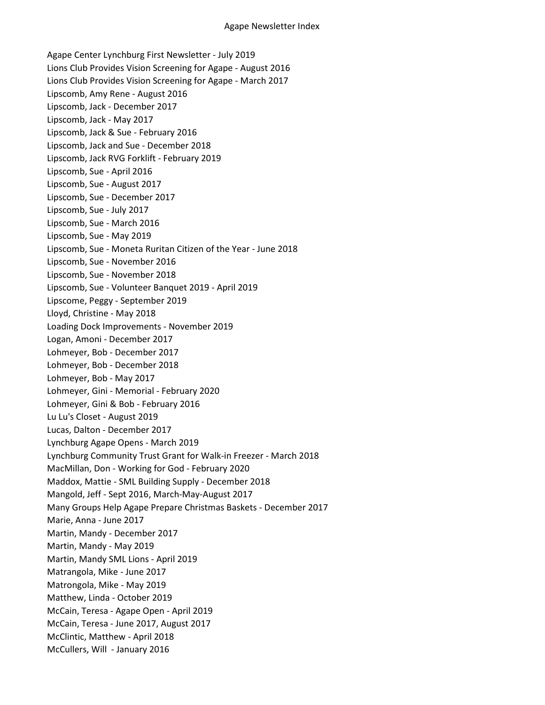Agape Center Lynchburg First Newsletter - July 2019 Lions Club Provides Vision Screening for Agape - August 2016 Lions Club Provides Vision Screening for Agape - March 2017 Lipscomb, Amy Rene - August 2016 Lipscomb, Jack - December 2017 Lipscomb, Jack - May 2017 Lipscomb, Jack & Sue - February 2016 Lipscomb, Jack and Sue - December 2018 Lipscomb, Jack RVG Forklift - February 2019 Lipscomb, Sue - April 2016 Lipscomb, Sue - August 2017 Lipscomb, Sue - December 2017 Lipscomb, Sue - July 2017 Lipscomb, Sue - March 2016 Lipscomb, Sue - May 2019 Lipscomb, Sue - Moneta Ruritan Citizen of the Year - June 2018 Lipscomb, Sue - November 2016 Lipscomb, Sue - November 2018 Lipscomb, Sue - Volunteer Banquet 2019 - April 2019 Lipscome, Peggy - September 2019 Lloyd, Christine - May 2018 Loading Dock Improvements - November 2019 Logan, Amoni - December 2017 Lohmeyer, Bob - December 2017 Lohmeyer, Bob - December 2018 Lohmeyer, Bob - May 2017 Lohmeyer, Gini - Memorial - February 2020 Lohmeyer, Gini & Bob - February 2016 Lu Lu's Closet - August 2019 Lucas, Dalton - December 2017 Lynchburg Agape Opens - March 2019 Lynchburg Community Trust Grant for Walk-in Freezer - March 2018 MacMillan, Don - Working for God - February 2020 Maddox, Mattie - SML Building Supply - December 2018 Mangold, Jeff - Sept 2016, March-May-August 2017 Many Groups Help Agape Prepare Christmas Baskets - December 2017 Marie, Anna - June 2017 Martin, Mandy - December 2017 Martin, Mandy - May 2019 Martin, Mandy SML Lions - April 2019 Matrangola, Mike - June 2017 Matrongola, Mike - May 2019 Matthew, Linda - October 2019 McCain, Teresa - Agape Open - April 2019 McCain, Teresa - June 2017, August 2017 McClintic, Matthew - April 2018 McCullers, Will - January 2016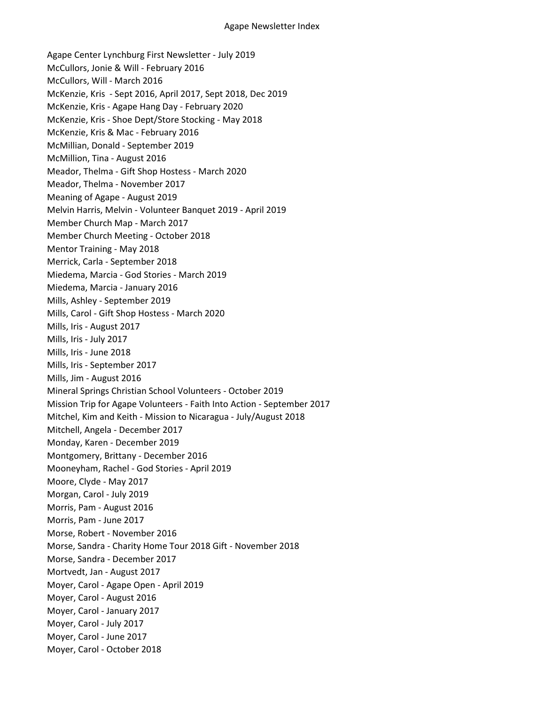Agape Center Lynchburg First Newsletter - July 2019 McCullors, Jonie & Will - February 2016 McCullors, Will - March 2016 McKenzie, Kris - Sept 2016, April 2017, Sept 2018, Dec 2019 McKenzie, Kris - Agape Hang Day - February 2020 McKenzie, Kris - Shoe Dept/Store Stocking - May 2018 McKenzie, Kris & Mac - February 2016 McMillian, Donald - September 2019 McMillion, Tina - August 2016 Meador, Thelma - Gift Shop Hostess - March 2020 Meador, Thelma - November 2017 Meaning of Agape - August 2019 Melvin Harris, Melvin - Volunteer Banquet 2019 - April 2019 Member Church Map - March 2017 Member Church Meeting - October 2018 Mentor Training - May 2018 Merrick, Carla - September 2018 Miedema, Marcia - God Stories - March 2019 Miedema, Marcia - January 2016 Mills, Ashley - September 2019 Mills, Carol - Gift Shop Hostess - March 2020 Mills, Iris - August 2017 Mills, Iris - July 2017 Mills, Iris - June 2018 Mills, Iris - September 2017 Mills, Jim - August 2016 Mineral Springs Christian School Volunteers - October 2019 Mission Trip for Agape Volunteers - Faith Into Action - September 2017 Mitchel, Kim and Keith - Mission to Nicaragua - July/August 2018 Mitchell, Angela - December 2017 Monday, Karen - December 2019 Montgomery, Brittany - December 2016 Mooneyham, Rachel - God Stories - April 2019 Moore, Clyde - May 2017 Morgan, Carol - July 2019 Morris, Pam - August 2016 Morris, Pam - June 2017 Morse, Robert - November 2016 Morse, Sandra - Charity Home Tour 2018 Gift - November 2018 Morse, Sandra - December 2017 Mortvedt, Jan - August 2017 Moyer, Carol - Agape Open - April 2019 Moyer, Carol - August 2016 Moyer, Carol - January 2017 Moyer, Carol - July 2017 Moyer, Carol - June 2017 Moyer, Carol - October 2018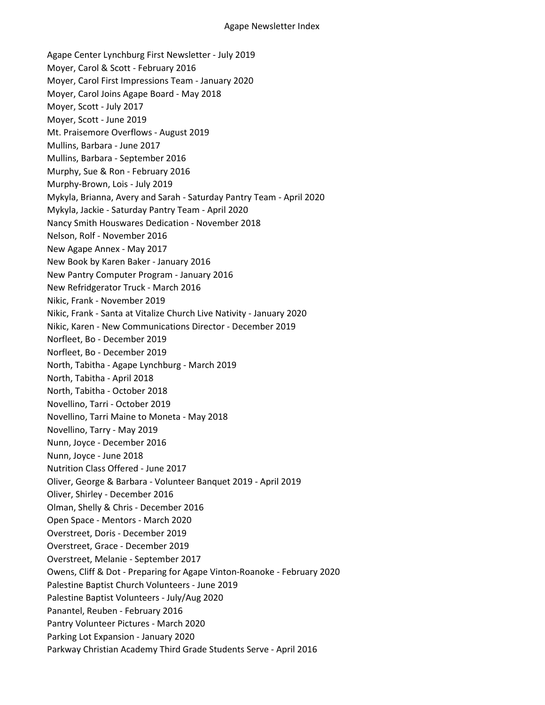Agape Center Lynchburg First Newsletter - July 2019 Moyer, Carol & Scott - February 2016 Moyer, Carol First Impressions Team - January 2020 Moyer, Carol Joins Agape Board - May 2018 Moyer, Scott - July 2017 Moyer, Scott - June 2019 Mt. Praisemore Overflows - August 2019 Mullins, Barbara - June 2017 Mullins, Barbara - September 2016 Murphy, Sue & Ron - February 2016 Murphy-Brown, Lois - July 2019 Mykyla, Brianna, Avery and Sarah - Saturday Pantry Team - April 2020 Mykyla, Jackie - Saturday Pantry Team - April 2020 Nancy Smith Houswares Dedication - November 2018 Nelson, Rolf - November 2016 New Agape Annex - May 2017 New Book by Karen Baker - January 2016 New Pantry Computer Program - January 2016 New Refridgerator Truck - March 2016 Nikic, Frank - November 2019 Nikic, Frank - Santa at Vitalize Church Live Nativity - January 2020 Nikic, Karen - New Communications Director - December 2019 Norfleet, Bo - December 2019 Norfleet, Bo - December 2019 North, Tabitha - Agape Lynchburg - March 2019 North, Tabitha - April 2018 North, Tabitha - October 2018 Novellino, Tarri - October 2019 Novellino, Tarri Maine to Moneta - May 2018 Novellino, Tarry - May 2019 Nunn, Joyce - December 2016 Nunn, Joyce - June 2018 Nutrition Class Offered - June 2017 Oliver, George & Barbara - Volunteer Banquet 2019 - April 2019 Oliver, Shirley - December 2016 Olman, Shelly & Chris - December 2016 Open Space - Mentors - March 2020 Overstreet, Doris - December 2019 Overstreet, Grace - December 2019 Overstreet, Melanie - September 2017 Owens, Cliff & Dot - Preparing for Agape Vinton-Roanoke - February 2020 Palestine Baptist Church Volunteers - June 2019 Palestine Baptist Volunteers - July/Aug 2020 Panantel, Reuben - February 2016 Pantry Volunteer Pictures - March 2020 Parking Lot Expansion - January 2020 Parkway Christian Academy Third Grade Students Serve - April 2016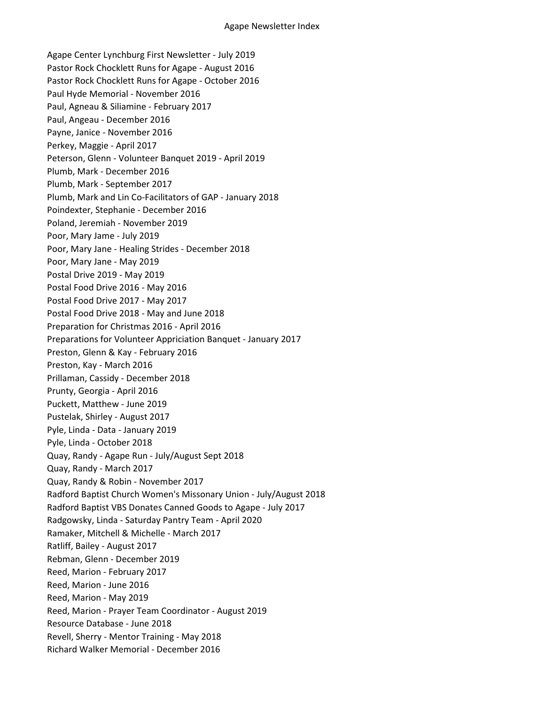Agape Center Lynchburg First Newsletter - July 2019 Pastor Rock Chocklett Runs for Agape - August 2016 Pastor Rock Chocklett Runs for Agape - October 2016 Paul Hyde Memorial - November 2016 Paul, Agneau & Siliamine - February 2017 Paul, Angeau - December 2016 Payne, Janice - November 2016 Perkey, Maggie - April 2017 Peterson, Glenn - Volunteer Banquet 2019 - April 2019 Plumb, Mark - December 2016 Plumb, Mark - September 2017 Plumb, Mark and Lin Co-Facilitators of GAP - January 2018 Poindexter, Stephanie - December 2016 Poland, Jeremiah - November 2019 Poor, Mary Jame - July 2019 Poor, Mary Jane - Healing Strides - December 2018 Poor, Mary Jane - May 2019 Postal Drive 2019 - May 2019 Postal Food Drive 2016 - May 2016 Postal Food Drive 2017 - May 2017 Postal Food Drive 2018 - May and June 2018 Preparation for Christmas 2016 - April 2016 Preparations for Volunteer Appriciation Banquet - January 2017 Preston, Glenn & Kay - February 2016 Preston, Kay - March 2016 Prillaman, Cassidy - December 2018 Prunty, Georgia - April 2016 Puckett, Matthew - June 2019 Pustelak, Shirley - August 2017 Pyle, Linda - Data - January 2019 Pyle, Linda - October 2018 Quay, Randy - Agape Run - July/August Sept 2018 Quay, Randy - March 2017 Quay, Randy & Robin - November 2017 Radford Baptist Church Women's Missonary Union - July/August 2018 Radford Baptist VBS Donates Canned Goods to Agape - July 2017 Radgowsky, Linda - Saturday Pantry Team - April 2020 Ramaker, Mitchell & Michelle - March 2017 Ratliff, Bailey - August 2017 Rebman, Glenn - December 2019 Reed, Marion - February 2017 Reed, Marion - June 2016 Reed, Marion - May 2019 Reed, Marion - Prayer Team Coordinator - August 2019 Resource Database - June 2018 Revell, Sherry - Mentor Training - May 2018 Richard Walker Memorial - December 2016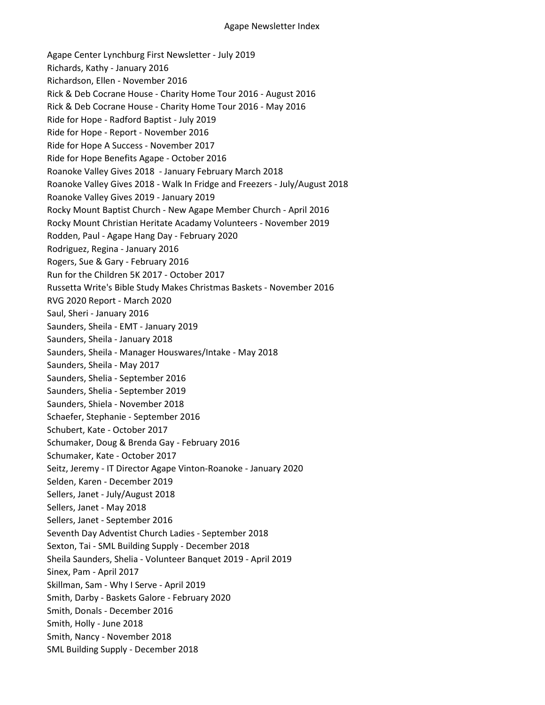Agape Center Lynchburg First Newsletter - July 2019 Richards, Kathy - January 2016 Richardson, Ellen - November 2016 Rick & Deb Cocrane House - Charity Home Tour 2016 - August 2016 Rick & Deb Cocrane House - Charity Home Tour 2016 - May 2016 Ride for Hope - Radford Baptist - July 2019 Ride for Hope - Report - November 2016 Ride for Hope A Success - November 2017 Ride for Hope Benefits Agape - October 2016 Roanoke Valley Gives 2018 - January February March 2018 Roanoke Valley Gives 2018 - Walk In Fridge and Freezers - July/August 2018 Roanoke Valley Gives 2019 - January 2019 Rocky Mount Baptist Church - New Agape Member Church - April 2016 Rocky Mount Christian Heritate Acadamy Volunteers - November 2019 Rodden, Paul - Agape Hang Day - February 2020 Rodriguez, Regina - January 2016 Rogers, Sue & Gary - February 2016 Run for the Children 5K 2017 - October 2017 Russetta Write's Bible Study Makes Christmas Baskets - November 2016 RVG 2020 Report - March 2020 Saul, Sheri - January 2016 Saunders, Sheila - EMT - January 2019 Saunders, Sheila - January 2018 Saunders, Sheila - Manager Houswares/Intake - May 2018 Saunders, Sheila - May 2017 Saunders, Shelia - September 2016 Saunders, Shelia - September 2019 Saunders, Shiela - November 2018 Schaefer, Stephanie - September 2016 Schubert, Kate - October 2017 Schumaker, Doug & Brenda Gay - February 2016 Schumaker, Kate - October 2017 Seitz, Jeremy - IT Director Agape Vinton-Roanoke - January 2020 Selden, Karen - December 2019 Sellers, Janet - July/August 2018 Sellers, Janet - May 2018 Sellers, Janet - September 2016 Seventh Day Adventist Church Ladies - September 2018 Sexton, Tai - SML Building Supply - December 2018 Sheila Saunders, Shelia - Volunteer Banquet 2019 - April 2019 Sinex, Pam - April 2017 Skillman, Sam - Why I Serve - April 2019 Smith, Darby - Baskets Galore - February 2020 Smith, Donals - December 2016 Smith, Holly - June 2018 Smith, Nancy - November 2018 SML Building Supply - December 2018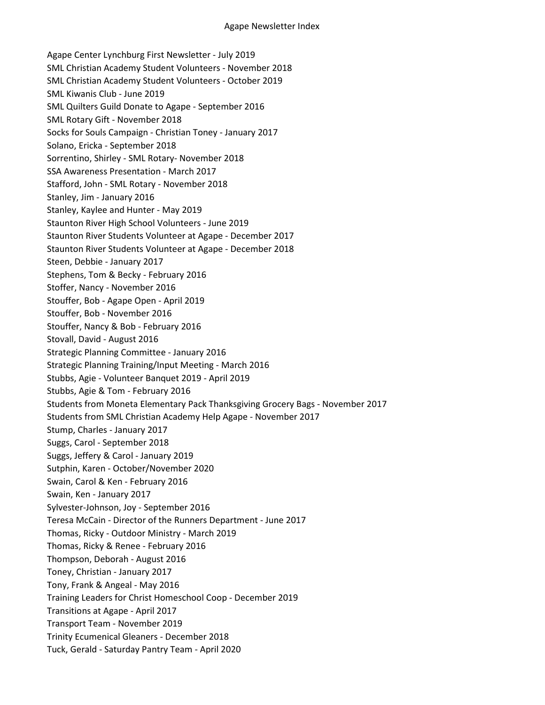Agape Center Lynchburg First Newsletter - July 2019 SML Christian Academy Student Volunteers - November 2018 SML Christian Academy Student Volunteers - October 2019 SML Kiwanis Club - June 2019 SML Quilters Guild Donate to Agape - September 2016 SML Rotary Gift - November 2018 Socks for Souls Campaign - Christian Toney - January 2017 Solano, Ericka - September 2018 Sorrentino, Shirley - SML Rotary- November 2018 SSA Awareness Presentation - March 2017 Stafford, John - SML Rotary - November 2018 Stanley, Jim - January 2016 Stanley, Kaylee and Hunter - May 2019 Staunton River High School Volunteers - June 2019 Staunton River Students Volunteer at Agape - December 2017 Staunton River Students Volunteer at Agape - December 2018 Steen, Debbie - January 2017 Stephens, Tom & Becky - February 2016 Stoffer, Nancy - November 2016 Stouffer, Bob - Agape Open - April 2019 Stouffer, Bob - November 2016 Stouffer, Nancy & Bob - February 2016 Stovall, David - August 2016 Strategic Planning Committee - January 2016 Strategic Planning Training/Input Meeting - March 2016 Stubbs, Agie - Volunteer Banquet 2019 - April 2019 Stubbs, Agie & Tom - February 2016 Students from Moneta Elementary Pack Thanksgiving Grocery Bags - November 2017 Students from SML Christian Academy Help Agape - November 2017 Stump, Charles - January 2017 Suggs, Carol - September 2018 Suggs, Jeffery & Carol - January 2019 Sutphin, Karen - October/November 2020 Swain, Carol & Ken - February 2016 Swain, Ken - January 2017 Sylvester-Johnson, Joy - September 2016 Teresa McCain - Director of the Runners Department - June 2017 Thomas, Ricky - Outdoor Ministry - March 2019 Thomas, Ricky & Renee - February 2016 Thompson, Deborah - August 2016 Toney, Christian - January 2017 Tony, Frank & Angeal - May 2016 Training Leaders for Christ Homeschool Coop - December 2019 Transitions at Agape - April 2017 Transport Team - November 2019 Trinity Ecumenical Gleaners - December 2018 Tuck, Gerald - Saturday Pantry Team - April 2020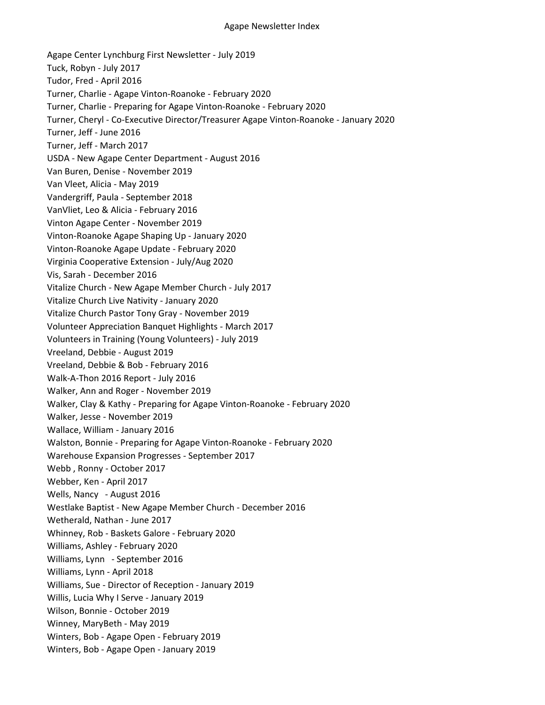Agape Center Lynchburg First Newsletter - July 2019 Tuck, Robyn - July 2017 Tudor, Fred - April 2016 Turner, Charlie - Agape Vinton-Roanoke - February 2020 Turner, Charlie - Preparing for Agape Vinton-Roanoke - February 2020 Turner, Cheryl - Co-Executive Director/Treasurer Agape Vinton-Roanoke - January 2020 Turner, Jeff - June 2016 Turner, Jeff - March 2017 USDA - New Agape Center Department - August 2016 Van Buren, Denise - November 2019 Van Vleet, Alicia - May 2019 Vandergriff, Paula - September 2018 VanVliet, Leo & Alicia - February 2016 Vinton Agape Center - November 2019 Vinton-Roanoke Agape Shaping Up - January 2020 Vinton-Roanoke Agape Update - February 2020 Virginia Cooperative Extension - July/Aug 2020 Vis, Sarah - December 2016 Vitalize Church - New Agape Member Church - July 2017 Vitalize Church Live Nativity - January 2020 Vitalize Church Pastor Tony Gray - November 2019 Volunteer Appreciation Banquet Highlights - March 2017 Volunteers in Training (Young Volunteers) - July 2019 Vreeland, Debbie - August 2019 Vreeland, Debbie & Bob - February 2016 Walk-A-Thon 2016 Report - July 2016 Walker, Ann and Roger - November 2019 Walker, Clay & Kathy - Preparing for Agape Vinton-Roanoke - February 2020 Walker, Jesse - November 2019 Wallace, William - January 2016 Walston, Bonnie - Preparing for Agape Vinton-Roanoke - February 2020 Warehouse Expansion Progresses - September 2017 Webb , Ronny - October 2017 Webber, Ken - April 2017 Wells, Nancy - August 2016 Westlake Baptist - New Agape Member Church - December 2016 Wetherald, Nathan - June 2017 Whinney, Rob - Baskets Galore - February 2020 Williams, Ashley - February 2020 Williams, Lynn - September 2016 Williams, Lynn - April 2018 Williams, Sue - Director of Reception - January 2019 Willis, Lucia Why I Serve - January 2019 Wilson, Bonnie - October 2019 Winney, MaryBeth - May 2019 Winters, Bob - Agape Open - February 2019 Winters, Bob - Agape Open - January 2019